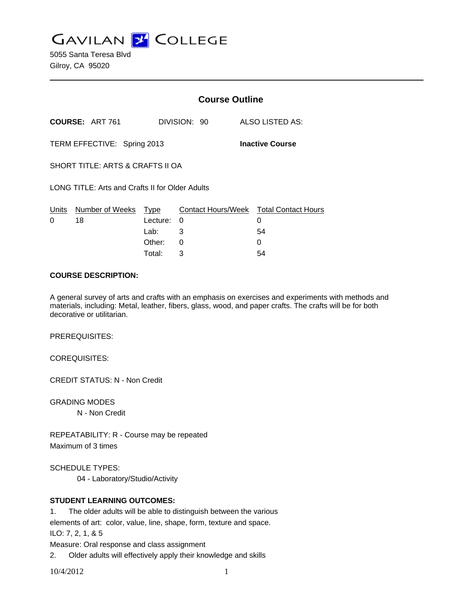**GAVILAN Z COLLEGE** 

5055 Santa Teresa Blvd Gilroy, CA 95020

|                                                 | <b>Course Outline</b> |                                    |              |                                        |  |
|-------------------------------------------------|-----------------------|------------------------------------|--------------|----------------------------------------|--|
| <b>COURSE: ART 761</b>                          |                       |                                    |              | ALSO LISTED AS:                        |  |
| TERM EFFECTIVE: Spring 2013                     |                       |                                    |              | <b>Inactive Course</b>                 |  |
| SHORT TITLE: ARTS & CRAFTS II OA                |                       |                                    |              |                                        |  |
| LONG TITLE: Arts and Crafts II for Older Adults |                       |                                    |              |                                        |  |
| Number of Weeks                                 |                       | 0<br>3<br>0                        |              | 0<br>54<br>0                           |  |
|                                                 |                       | Type<br>Lecture:<br>Lab:<br>Other: | DIVISION: 90 | Contact Hours/Week Total Contact Hours |  |

#### **COURSE DESCRIPTION:**

A general survey of arts and crafts with an emphasis on exercises and experiments with methods and materials, including: Metal, leather, fibers, glass, wood, and paper crafts. The crafts will be for both decorative or utilitarian.

Total: 3 54

PREREQUISITES:

COREQUISITES:

CREDIT STATUS: N - Non Credit

GRADING MODES

N - Non Credit

REPEATABILITY: R - Course may be repeated Maximum of 3 times

SCHEDULE TYPES:

04 - Laboratory/Studio/Activity

### **STUDENT LEARNING OUTCOMES:**

1. The older adults will be able to distinguish between the various

elements of art: color, value, line, shape, form, texture and space.

ILO: 7, 2, 1, & 5

Measure: Oral response and class assignment

2. Older adults will effectively apply their knowledge and skills

10/4/2012 1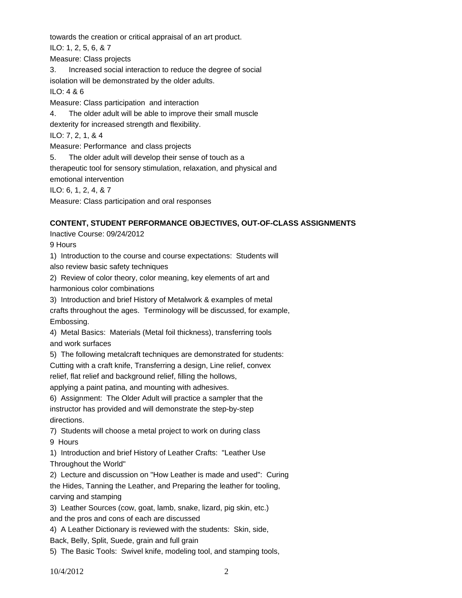towards the creation or critical appraisal of an art product.

ILO: 1, 2, 5, 6, & 7

Measure: Class projects

3. Increased social interaction to reduce the degree of social isolation will be demonstrated by the older adults.

ILO: 4 & 6

Measure: Class participation and interaction

4. The older adult will be able to improve their small muscle

dexterity for increased strength and flexibility.

ILO: 7, 2, 1, & 4

Measure: Performance and class projects

5. The older adult will develop their sense of touch as a therapeutic tool for sensory stimulation, relaxation, and physical and emotional intervention

ILO: 6, 1, 2, 4, & 7

Measure: Class participation and oral responses

# **CONTENT, STUDENT PERFORMANCE OBJECTIVES, OUT-OF-CLASS ASSIGNMENTS**

Inactive Course: 09/24/2012

9 Hours

1) Introduction to the course and course expectations: Students will also review basic safety techniques

2) Review of color theory, color meaning, key elements of art and harmonious color combinations

3) Introduction and brief History of Metalwork & examples of metal

crafts throughout the ages. Terminology will be discussed, for example, Embossing.

4) Metal Basics: Materials (Metal foil thickness), transferring tools and work surfaces

5) The following metalcraft techniques are demonstrated for students:

Cutting with a craft knife, Transferring a design, Line relief, convex

relief, flat relief and background relief, filling the hollows,

applying a paint patina, and mounting with adhesives.

6) Assignment: The Older Adult will practice a sampler that the instructor has provided and will demonstrate the step-by-step directions.

7) Students will choose a metal project to work on during class

9 Hours

1) Introduction and brief History of Leather Crafts: "Leather Use Throughout the World"

2) Lecture and discussion on "How Leather is made and used": Curing the Hides, Tanning the Leather, and Preparing the leather for tooling, carving and stamping

3) Leather Sources (cow, goat, lamb, snake, lizard, pig skin, etc.) and the pros and cons of each are discussed

4) A Leather Dictionary is reviewed with the students: Skin, side,

Back, Belly, Split, Suede, grain and full grain

5) The Basic Tools: Swivel knife, modeling tool, and stamping tools,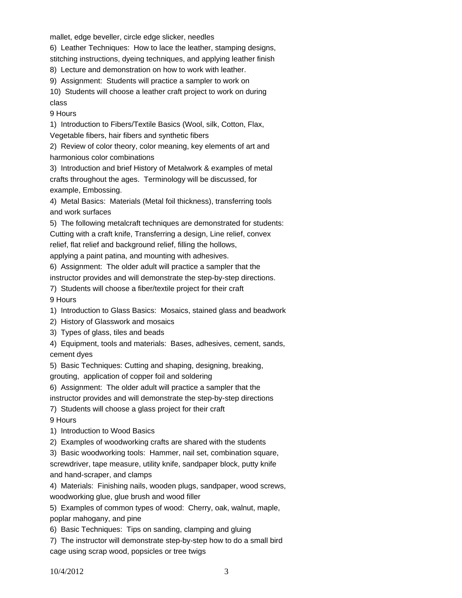mallet, edge beveller, circle edge slicker, needles

6) Leather Techniques: How to lace the leather, stamping designs,

stitching instructions, dyeing techniques, and applying leather finish

8) Lecture and demonstration on how to work with leather.

9) Assignment: Students will practice a sampler to work on

10) Students will choose a leather craft project to work on during class

9 Hours

1) Introduction to Fibers/Textile Basics (Wool, silk, Cotton, Flax,

Vegetable fibers, hair fibers and synthetic fibers

2) Review of color theory, color meaning, key elements of art and harmonious color combinations

3) Introduction and brief History of Metalwork & examples of metal crafts throughout the ages. Terminology will be discussed, for example, Embossing.

4) Metal Basics: Materials (Metal foil thickness), transferring tools and work surfaces

5) The following metalcraft techniques are demonstrated for students: Cutting with a craft knife, Transferring a design, Line relief, convex relief, flat relief and background relief, filling the hollows,

applying a paint patina, and mounting with adhesives.

6) Assignment: The older adult will practice a sampler that the instructor provides and will demonstrate the step-by-step directions.

- 7) Students will choose a fiber/textile project for their craft 9 Hours
- 1) Introduction to Glass Basics: Mosaics, stained glass and beadwork

2) History of Glasswork and mosaics

- 3) Types of glass, tiles and beads
- 4) Equipment, tools and materials: Bases, adhesives, cement, sands, cement dyes

5) Basic Techniques: Cutting and shaping, designing, breaking,

grouting, application of copper foil and soldering

6) Assignment: The older adult will practice a sampler that the

instructor provides and will demonstrate the step-by-step directions

7) Students will choose a glass project for their craft

9 Hours

1) Introduction to Wood Basics

2) Examples of woodworking crafts are shared with the students

3) Basic woodworking tools: Hammer, nail set, combination square, screwdriver, tape measure, utility knife, sandpaper block, putty knife and hand-scraper, and clamps

4) Materials: Finishing nails, wooden plugs, sandpaper, wood screws, woodworking glue, glue brush and wood filler

5) Examples of common types of wood: Cherry, oak, walnut, maple, poplar mahogany, and pine

6) Basic Techniques: Tips on sanding, clamping and gluing

7) The instructor will demonstrate step-by-step how to do a small bird cage using scrap wood, popsicles or tree twigs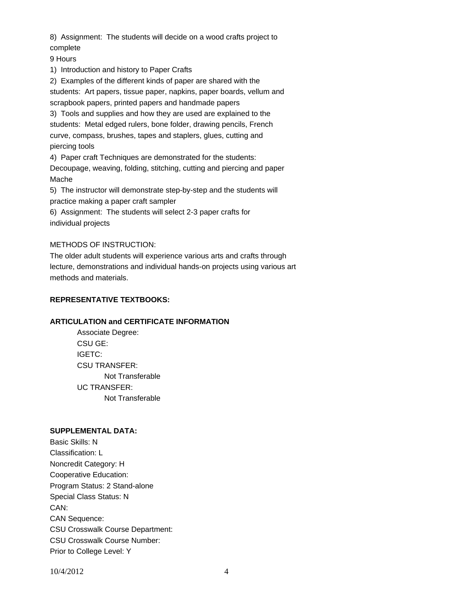8) Assignment: The students will decide on a wood crafts project to complete

9 Hours

1) Introduction and history to Paper Crafts

2) Examples of the different kinds of paper are shared with the students: Art papers, tissue paper, napkins, paper boards, vellum and scrapbook papers, printed papers and handmade papers

3) Tools and supplies and how they are used are explained to the students: Metal edged rulers, bone folder, drawing pencils, French curve, compass, brushes, tapes and staplers, glues, cutting and piercing tools

4) Paper craft Techniques are demonstrated for the students:

Decoupage, weaving, folding, stitching, cutting and piercing and paper Mache

5) The instructor will demonstrate step-by-step and the students will practice making a paper craft sampler

6) Assignment: The students will select 2-3 paper crafts for individual projects

# METHODS OF INSTRUCTION:

The older adult students will experience various arts and crafts through lecture, demonstrations and individual hands-on projects using various art methods and materials.

## **REPRESENTATIVE TEXTBOOKS:**

### **ARTICULATION and CERTIFICATE INFORMATION**

 Not Transferable UC TRANSFER: Not Transferable Associate Degree: CSU GE: IGETC: CSU TRANSFER:

#### **SUPPLEMENTAL DATA:**

Basic Skills: N Classification: L Noncredit Category: H Cooperative Education: Program Status: 2 Stand-alone Special Class Status: N CAN: CAN Sequence: CSU Crosswalk Course Department: CSU Crosswalk Course Number: Prior to College Level: Y